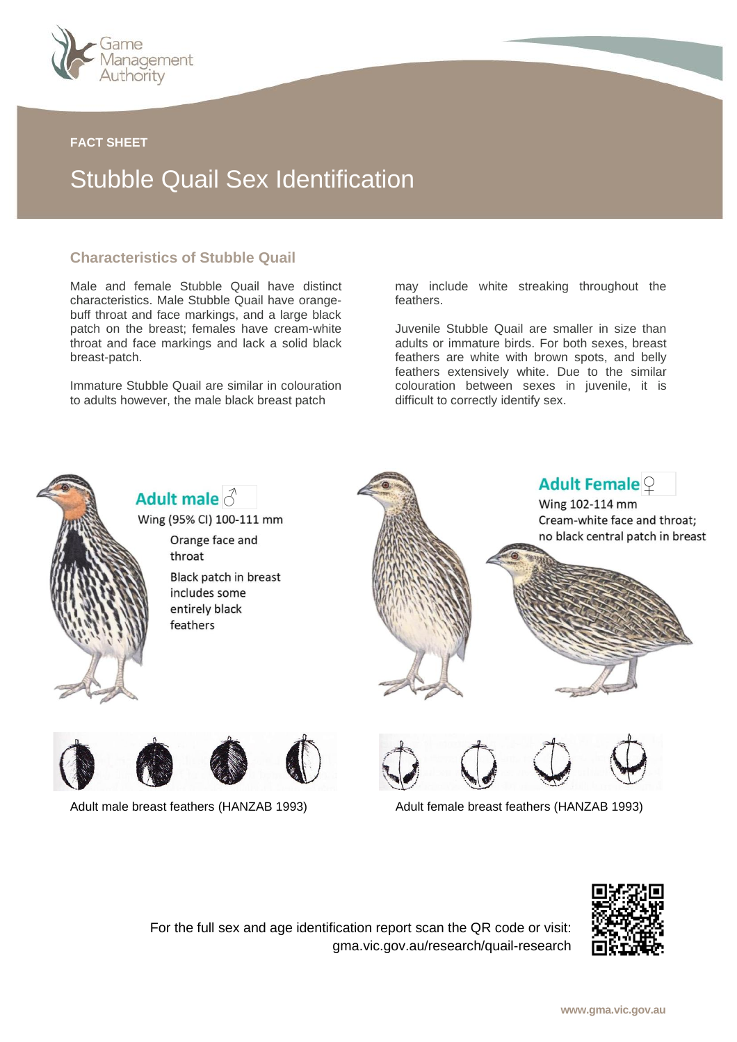

#### **FACT SHEET**

# Stubble Quail Sex Identification

### **Characteristics of Stubble Quail**

Male and female Stubble Quail have distinct characteristics. Male Stubble Quail have orangebuff throat and face markings, and a large black patch on the breast; females have cream-white throat and face markings and lack a solid black breast-patch.

Immature Stubble Quail are similar in colouration to adults however, the male black breast patch

may include white streaking throughout the feathers.

Juvenile Stubble Quail are smaller in size than adults or immature birds. For both sexes, breast feathers are white with brown spots, and belly feathers extensively white. Due to the similar colouration between sexes in juvenile, it is difficult to correctly identify sex.



Adult male  $\delta$ 

Wing (95% CI) 100-111 mm Orange face and throat Black patch in breast includes some entirely black feathers





Adult male breast feathers (HANZAB 1993) Adult female breast feathers (HANZAB 1993)





For the full sex and age identification report scan the QR code or visit: gma.vic.gov.au/research/quail-research